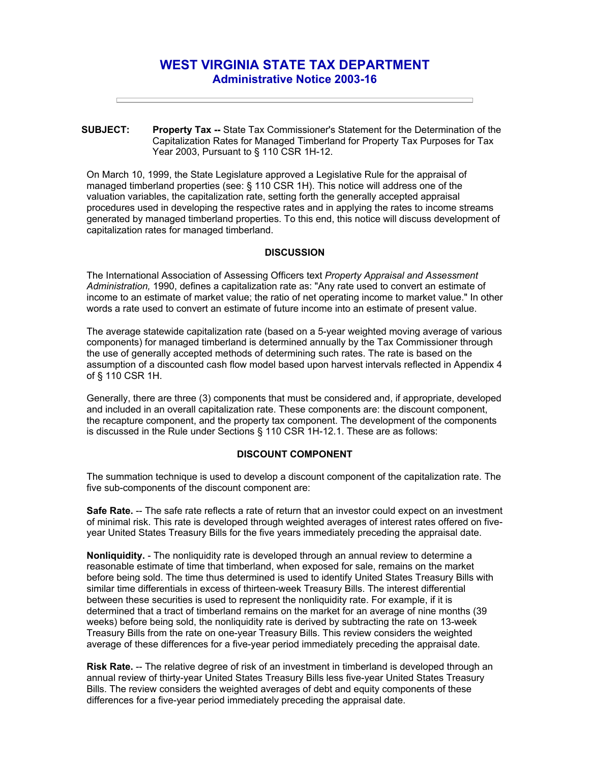# **WEST VIRGINIA STATE TAX DEPARTMENT Administrative Notice 2003-16**

**SUBJECT: Property Tax --** State Tax Commissioner's Statement for the Determination of the Capitalization Rates for Managed Timberland for Property Tax Purposes for Tax Year 2003, Pursuant to § 110 CSR 1H-12.

On March 10, 1999, the State Legislature approved a Legislative Rule for the appraisal of managed timberland properties (see: § 110 CSR 1H). This notice will address one of the valuation variables, the capitalization rate, setting forth the generally accepted appraisal procedures used in developing the respective rates and in applying the rates to income streams generated by managed timberland properties. To this end, this notice will discuss development of capitalization rates for managed timberland.

#### **DISCUSSION**

The International Association of Assessing Officers text *Property Appraisal and Assessment Administration,* 1990, defines a capitalization rate as: "Any rate used to convert an estimate of income to an estimate of market value; the ratio of net operating income to market value." In other words a rate used to convert an estimate of future income into an estimate of present value.

The average statewide capitalization rate (based on a 5-year weighted moving average of various components) for managed timberland is determined annually by the Tax Commissioner through the use of generally accepted methods of determining such rates. The rate is based on the assumption of a discounted cash flow model based upon harvest intervals reflected in Appendix 4 of § 110 CSR 1H.

Generally, there are three (3) components that must be considered and, if appropriate, developed and included in an overall capitalization rate. These components are: the discount component, the recapture component, and the property tax component. The development of the components is discussed in the Rule under Sections § 110 CSR 1H-12.1. These are as follows:

### **DISCOUNT COMPONENT**

The summation technique is used to develop a discount component of the capitalization rate. The five sub-components of the discount component are:

**Safe Rate.** -- The safe rate reflects a rate of return that an investor could expect on an investment of minimal risk. This rate is developed through weighted averages of interest rates offered on fiveyear United States Treasury Bills for the five years immediately preceding the appraisal date.

**Nonliquidity.** - The nonliquidity rate is developed through an annual review to determine a reasonable estimate of time that timberland, when exposed for sale, remains on the market before being sold. The time thus determined is used to identify United States Treasury Bills with similar time differentials in excess of thirteen-week Treasury Bills. The interest differential between these securities is used to represent the nonliquidity rate. For example, if it is determined that a tract of timberland remains on the market for an average of nine months (39 weeks) before being sold, the nonliquidity rate is derived by subtracting the rate on 13-week Treasury Bills from the rate on one-year Treasury Bills. This review considers the weighted average of these differences for a five-year period immediately preceding the appraisal date.

**Risk Rate.** -- The relative degree of risk of an investment in timberland is developed through an annual review of thirty-year United States Treasury Bills less five-year United States Treasury Bills. The review considers the weighted averages of debt and equity components of these differences for a five-year period immediately preceding the appraisal date.